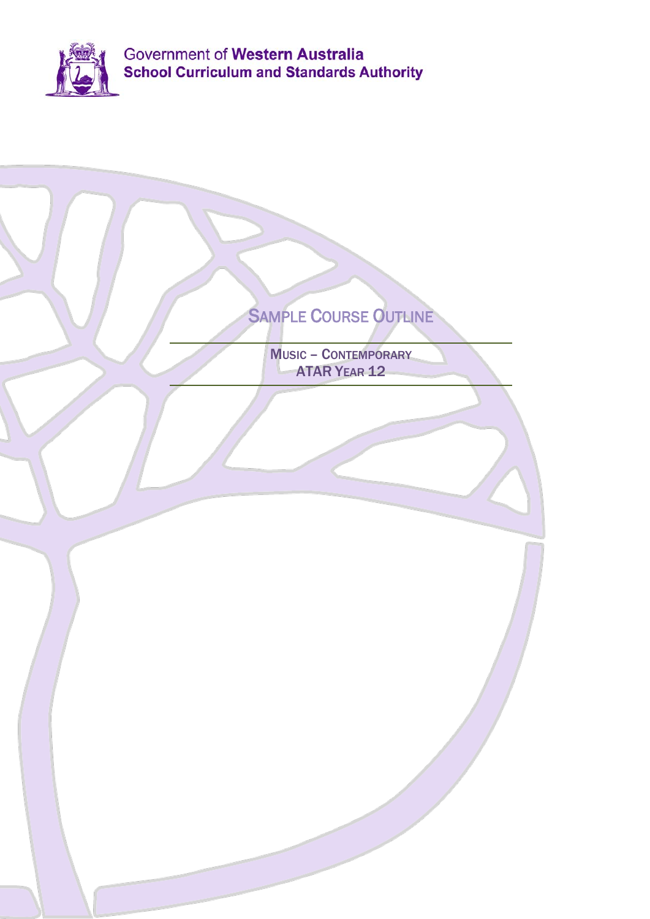

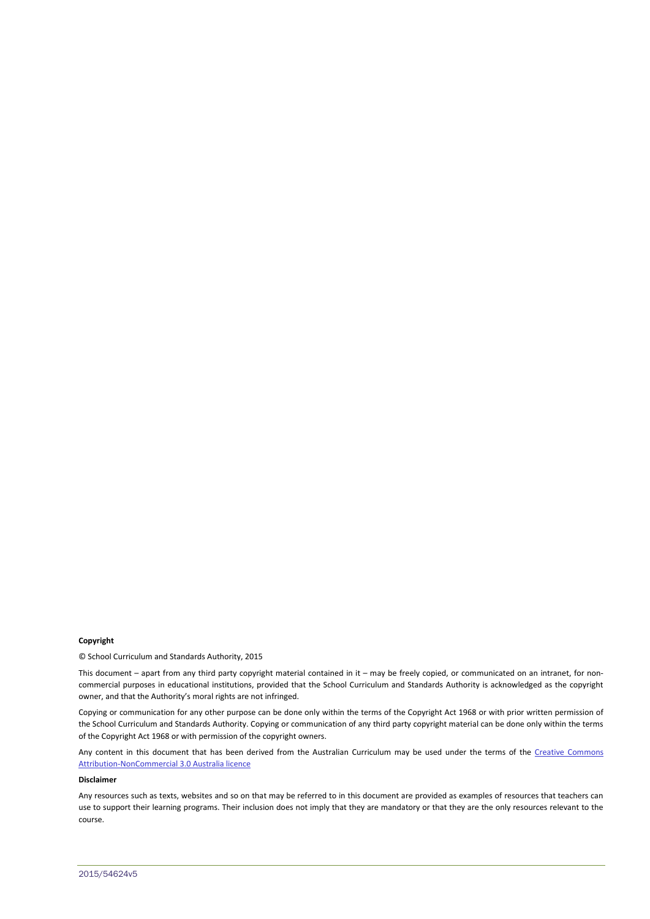#### **Copyright**

© School Curriculum and Standards Authority, 2015

This document – apart from any third party copyright material contained in it – may be freely copied, or communicated on an intranet, for noncommercial purposes in educational institutions, provided that the School Curriculum and Standards Authority is acknowledged as the copyright owner, and that the Authority's moral rights are not infringed.

Copying or communication for any other purpose can be done only within the terms of the Copyright Act 1968 or with prior written permission of the School Curriculum and Standards Authority. Copying or communication of any third party copyright material can be done only within the terms of the Copyright Act 1968 or with permission of the copyright owners.

Any content in this document that has been derived from the Australian Curriculum may be used under the terms of the Creative Commons [Attribution-NonCommercial 3.0 Australia licence](http://creativecommons.org/licenses/by-nc/3.0/au/)

### **Disclaimer**

Any resources such as texts, websites and so on that may be referred to in this document are provided as examples of resources that teachers can use to support their learning programs. Their inclusion does not imply that they are mandatory or that they are the only resources relevant to the course.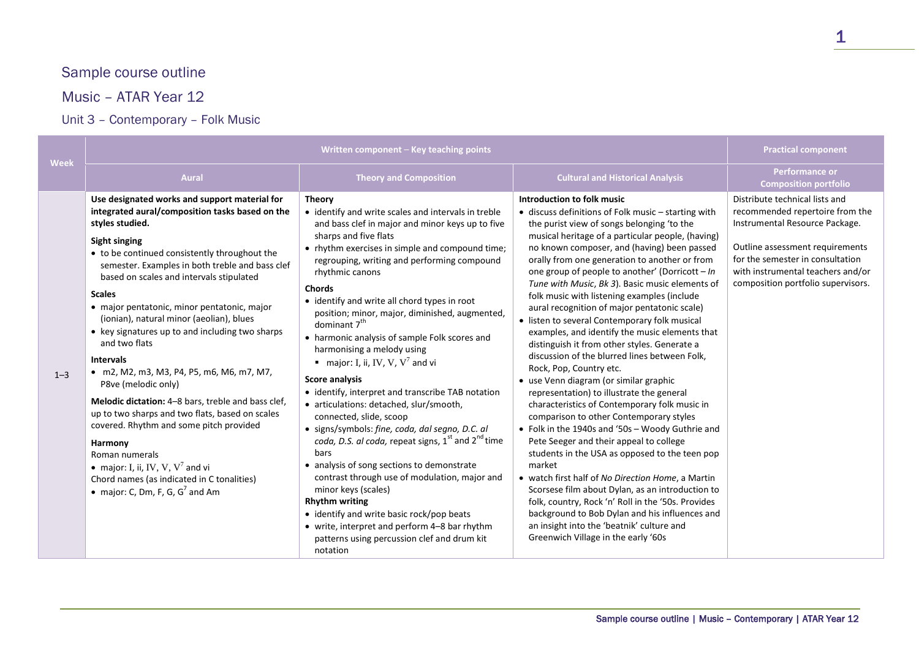# Sample course outline

## Music – ATAR Year 12

## Unit 3 – Contemporary – Folk Music

|         | Written component - Key teaching points                                                                                                                                                                                                                                                                                                                                                                                                                                                                                                                                                                                                                                                                                                                                                                                                                                  |                                                                                                                                                                                                                                                                                                                                                                                                                                                                                                                                                                                                                                                                                                                                                                                                                                                                                                                                                                                                                                                                                                                                                                  | <b>Practical component</b>                                                                                                                                                                                                                                                                                                                                                                                                                                                                                                                                                                                                                                                                                                                                                                                                                                                                                                                                                                                                                                                                                                                                                                                                                                                                                                                                                  |                                                                                                                                                                                                                                                       |
|---------|--------------------------------------------------------------------------------------------------------------------------------------------------------------------------------------------------------------------------------------------------------------------------------------------------------------------------------------------------------------------------------------------------------------------------------------------------------------------------------------------------------------------------------------------------------------------------------------------------------------------------------------------------------------------------------------------------------------------------------------------------------------------------------------------------------------------------------------------------------------------------|------------------------------------------------------------------------------------------------------------------------------------------------------------------------------------------------------------------------------------------------------------------------------------------------------------------------------------------------------------------------------------------------------------------------------------------------------------------------------------------------------------------------------------------------------------------------------------------------------------------------------------------------------------------------------------------------------------------------------------------------------------------------------------------------------------------------------------------------------------------------------------------------------------------------------------------------------------------------------------------------------------------------------------------------------------------------------------------------------------------------------------------------------------------|-----------------------------------------------------------------------------------------------------------------------------------------------------------------------------------------------------------------------------------------------------------------------------------------------------------------------------------------------------------------------------------------------------------------------------------------------------------------------------------------------------------------------------------------------------------------------------------------------------------------------------------------------------------------------------------------------------------------------------------------------------------------------------------------------------------------------------------------------------------------------------------------------------------------------------------------------------------------------------------------------------------------------------------------------------------------------------------------------------------------------------------------------------------------------------------------------------------------------------------------------------------------------------------------------------------------------------------------------------------------------------|-------------------------------------------------------------------------------------------------------------------------------------------------------------------------------------------------------------------------------------------------------|
| Week    | <b>Aural</b>                                                                                                                                                                                                                                                                                                                                                                                                                                                                                                                                                                                                                                                                                                                                                                                                                                                             | <b>Theory and Composition</b>                                                                                                                                                                                                                                                                                                                                                                                                                                                                                                                                                                                                                                                                                                                                                                                                                                                                                                                                                                                                                                                                                                                                    | <b>Cultural and Historical Analysis</b>                                                                                                                                                                                                                                                                                                                                                                                                                                                                                                                                                                                                                                                                                                                                                                                                                                                                                                                                                                                                                                                                                                                                                                                                                                                                                                                                     | <b>Performance or</b><br><b>Composition portfolio</b>                                                                                                                                                                                                 |
| $1 - 3$ | Use designated works and support material for<br>integrated aural/composition tasks based on the<br>styles studied.<br>Sight singing<br>• to be continued consistently throughout the<br>semester. Examples in both treble and bass clef<br>based on scales and intervals stipulated<br><b>Scales</b><br>· major pentatonic, minor pentatonic, major<br>(ionian), natural minor (aeolian), blues<br>• key signatures up to and including two sharps<br>and two flats<br><b>Intervals</b><br>• m2, M2, m3, M3, P4, P5, m6, M6, m7, M7,<br>P8ve (melodic only)<br>Melodic dictation: 4-8 bars, treble and bass clef,<br>up to two sharps and two flats, based on scales<br>covered. Rhythm and some pitch provided<br>Harmony<br>Roman numerals<br>• major: I, ii, IV, V, $V^7$ and vi<br>Chord names (as indicated in C tonalities)<br>• major: C, Dm, F, G, $G^7$ and Am | <b>Theory</b><br>• identify and write scales and intervals in treble<br>and bass clef in major and minor keys up to five<br>sharps and five flats<br>• rhythm exercises in simple and compound time;<br>regrouping, writing and performing compound<br>rhythmic canons<br><b>Chords</b><br>• identify and write all chord types in root<br>position; minor, major, diminished, augmented,<br>dominant 7 <sup>th</sup><br>• harmonic analysis of sample Folk scores and<br>harmonising a melody using<br><b>n</b> major: I, ii, IV, V, V <sup>7</sup> and vi<br><b>Score analysis</b><br>• identify, interpret and transcribe TAB notation<br>• articulations: detached, slur/smooth,<br>connected, slide, scoop<br>· signs/symbols: fine, coda, dal segno, D.C. al<br>coda, D.S. al coda, repeat signs, 1 <sup>st</sup> and 2 <sup>nd</sup> time<br>bars<br>• analysis of song sections to demonstrate<br>contrast through use of modulation, major and<br>minor keys (scales)<br><b>Rhythm writing</b><br>• identify and write basic rock/pop beats<br>• write, interpret and perform 4-8 bar rhythm<br>patterns using percussion clef and drum kit<br>notation | Introduction to folk music<br>• discuss definitions of Folk music - starting with<br>the purist view of songs belonging 'to the<br>musical heritage of a particular people, (having)<br>no known composer, and (having) been passed<br>orally from one generation to another or from<br>one group of people to another' (Dorricott - In<br>Tune with Music, Bk 3). Basic music elements of<br>folk music with listening examples (include<br>aural recognition of major pentatonic scale)<br>• listen to several Contemporary folk musical<br>examples, and identify the music elements that<br>distinguish it from other styles. Generate a<br>discussion of the blurred lines between Folk,<br>Rock, Pop, Country etc.<br>• use Venn diagram (or similar graphic<br>representation) to illustrate the general<br>characteristics of Contemporary folk music in<br>comparison to other Contemporary styles<br>• Folk in the 1940s and '50s - Woody Guthrie and<br>Pete Seeger and their appeal to college<br>students in the USA as opposed to the teen pop<br>market<br>• watch first half of No Direction Home, a Martin<br>Scorsese film about Dylan, as an introduction to<br>folk, country, Rock 'n' Roll in the '50s. Provides<br>background to Bob Dylan and his influences and<br>an insight into the 'beatnik' culture and<br>Greenwich Village in the early '60s | Distribute technical lists and<br>recommended repertoire from the<br>Instrumental Resource Package.<br>Outline assessment requirements<br>for the semester in consultation<br>with instrumental teachers and/or<br>composition portfolio supervisors. |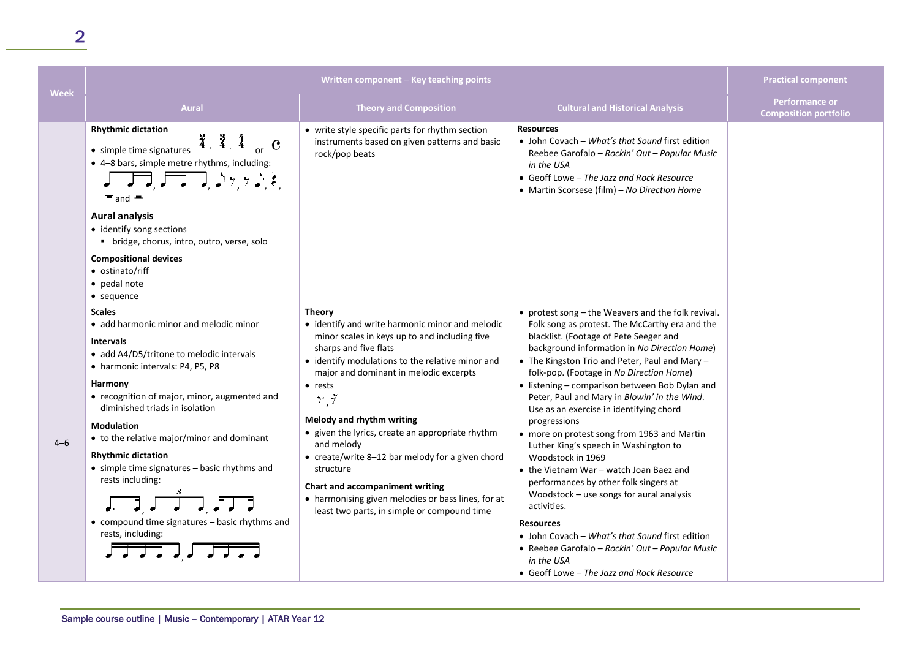| <b>Week</b> | Written component - Key teaching points                                                                                                                                                                                                                                                                                                                                                                                                                                                             |                                                                                                                                                                                                                                                                                                                                                                                                                                                                                                                                                                            | <b>Practical component</b>                                                                                                                                                                                                                                                                                                                                                                                                                                                                                                                                                                                                                                                                                                                                                                                                                                                                                 |                                                |
|-------------|-----------------------------------------------------------------------------------------------------------------------------------------------------------------------------------------------------------------------------------------------------------------------------------------------------------------------------------------------------------------------------------------------------------------------------------------------------------------------------------------------------|----------------------------------------------------------------------------------------------------------------------------------------------------------------------------------------------------------------------------------------------------------------------------------------------------------------------------------------------------------------------------------------------------------------------------------------------------------------------------------------------------------------------------------------------------------------------------|------------------------------------------------------------------------------------------------------------------------------------------------------------------------------------------------------------------------------------------------------------------------------------------------------------------------------------------------------------------------------------------------------------------------------------------------------------------------------------------------------------------------------------------------------------------------------------------------------------------------------------------------------------------------------------------------------------------------------------------------------------------------------------------------------------------------------------------------------------------------------------------------------------|------------------------------------------------|
|             | <b>Aural</b>                                                                                                                                                                                                                                                                                                                                                                                                                                                                                        | <b>Theory and Composition</b>                                                                                                                                                                                                                                                                                                                                                                                                                                                                                                                                              | <b>Cultural and Historical Analysis</b>                                                                                                                                                                                                                                                                                                                                                                                                                                                                                                                                                                                                                                                                                                                                                                                                                                                                    | Performance or<br><b>Composition portfolio</b> |
|             | <b>Rhythmic dictation</b><br>3, 3, 4<br>$\mathbf c$<br>• simple time signatures<br>• 4-8 bars, simple metre rhythms, including:<br>$J \rightarrow 7$<br>$\blacksquare$ and<br><b>Aural analysis</b><br>• identify song sections<br>• bridge, chorus, intro, outro, verse, solo<br><b>Compositional devices</b><br>• ostinato/riff<br>• pedal note<br>$\bullet$ sequence                                                                                                                             | • write style specific parts for rhythm section<br>instruments based on given patterns and basic<br>rock/pop beats                                                                                                                                                                                                                                                                                                                                                                                                                                                         | <b>Resources</b><br>• John Covach – What's that Sound first edition<br>Reebee Garofalo - Rockin' Out - Popular Music<br>in the USA<br>• Geoff Lowe – The Jazz and Rock Resource<br>• Martin Scorsese (film) - No Direction Home                                                                                                                                                                                                                                                                                                                                                                                                                                                                                                                                                                                                                                                                            |                                                |
| $4 - 6$     | <b>Scales</b><br>• add harmonic minor and melodic minor<br><b>Intervals</b><br>• add A4/D5/tritone to melodic intervals<br>• harmonic intervals: P4, P5, P8<br>Harmony<br>• recognition of major, minor, augmented and<br>diminished triads in isolation<br><b>Modulation</b><br>• to the relative major/minor and dominant<br><b>Rhythmic dictation</b><br>• simple time signatures - basic rhythms and<br>rests including:<br>• compound time signatures - basic rhythms and<br>rests, including: | <b>Theory</b><br>• identify and write harmonic minor and melodic<br>minor scales in keys up to and including five<br>sharps and five flats<br>• identify modulations to the relative minor and<br>major and dominant in melodic excerpts<br>$\bullet$ rests<br>7,7<br>Melody and rhythm writing<br>• given the lyrics, create an appropriate rhythm<br>and melody<br>• create/write 8-12 bar melody for a given chord<br>structure<br>Chart and accompaniment writing<br>• harmonising given melodies or bass lines, for at<br>least two parts, in simple or compound time | • protest song – the Weavers and the folk revival.<br>Folk song as protest. The McCarthy era and the<br>blacklist. (Footage of Pete Seeger and<br>background information in No Direction Home)<br>• The Kingston Trio and Peter, Paul and Mary -<br>folk-pop. (Footage in No Direction Home)<br>• listening - comparison between Bob Dylan and<br>Peter, Paul and Mary in Blowin' in the Wind.<br>Use as an exercise in identifying chord<br>progressions<br>• more on protest song from 1963 and Martin<br>Luther King's speech in Washington to<br>Woodstock in 1969<br>• the Vietnam War - watch Joan Baez and<br>performances by other folk singers at<br>Woodstock - use songs for aural analysis<br>activities.<br><b>Resources</b><br>• John Covach - What's that Sound first edition<br>• Reebee Garofalo - Rockin' Out - Popular Music<br>in the USA<br>• Geoff Lowe - The Jazz and Rock Resource |                                                |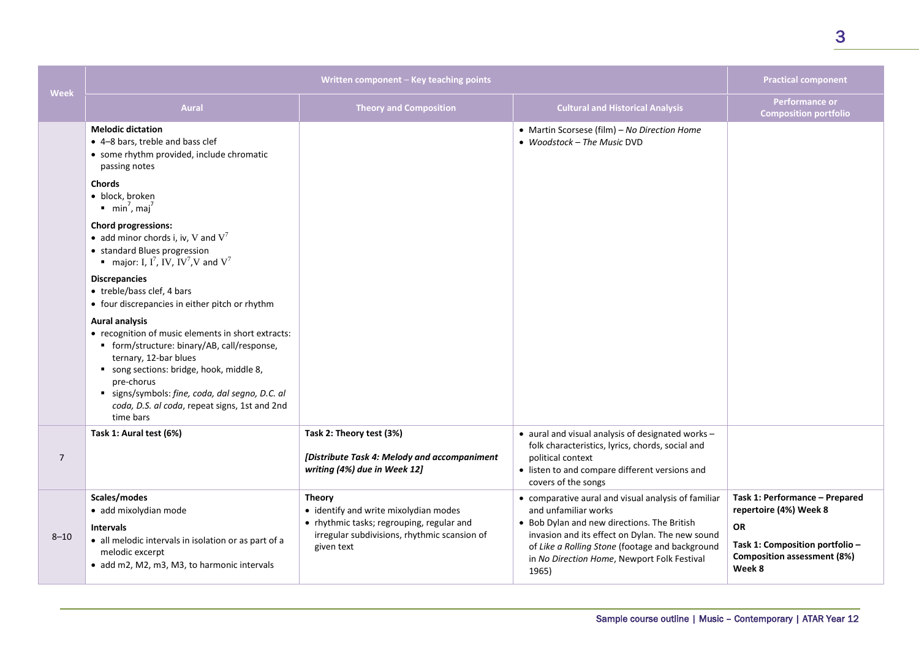| Week           | Written component - Key teaching points                                                                                                                                                                                                                                                                                    |                                                                                                                                                                   | <b>Practical component</b>                                                                                                                                                                                                                                                               |                                                                                                                                                          |
|----------------|----------------------------------------------------------------------------------------------------------------------------------------------------------------------------------------------------------------------------------------------------------------------------------------------------------------------------|-------------------------------------------------------------------------------------------------------------------------------------------------------------------|------------------------------------------------------------------------------------------------------------------------------------------------------------------------------------------------------------------------------------------------------------------------------------------|----------------------------------------------------------------------------------------------------------------------------------------------------------|
|                | <b>Aural</b>                                                                                                                                                                                                                                                                                                               | <b>Theory and Composition</b>                                                                                                                                     | <b>Cultural and Historical Analysis</b>                                                                                                                                                                                                                                                  | <b>Performance or</b><br><b>Composition portfolio</b>                                                                                                    |
|                | <b>Melodic dictation</b><br>• 4-8 bars, treble and bass clef<br>• some rhythm provided, include chromatic<br>passing notes                                                                                                                                                                                                 |                                                                                                                                                                   | • Martin Scorsese (film) - No Direction Home<br>• Woodstock - The Music DVD                                                                                                                                                                                                              |                                                                                                                                                          |
|                | <b>Chords</b><br>• block, broken<br>$min7$ , maj <sup>7</sup>                                                                                                                                                                                                                                                              |                                                                                                                                                                   |                                                                                                                                                                                                                                                                                          |                                                                                                                                                          |
|                | <b>Chord progressions:</b><br>• add minor chords i, iv, V and $V^7$<br>• standard Blues progression<br>major: I, I <sup>7</sup> , IV, IV <sup>7</sup> , V and V <sup>7</sup>                                                                                                                                               |                                                                                                                                                                   |                                                                                                                                                                                                                                                                                          |                                                                                                                                                          |
|                | <b>Discrepancies</b><br>• treble/bass clef, 4 bars<br>• four discrepancies in either pitch or rhythm                                                                                                                                                                                                                       |                                                                                                                                                                   |                                                                                                                                                                                                                                                                                          |                                                                                                                                                          |
|                | <b>Aural analysis</b><br>• recognition of music elements in short extracts:<br>■ form/structure: binary/AB, call/response,<br>ternary, 12-bar blues<br>song sections: bridge, hook, middle 8,<br>pre-chorus<br>signs/symbols: fine, coda, dal segno, D.C. al<br>coda, D.S. al coda, repeat signs, 1st and 2nd<br>time bars |                                                                                                                                                                   |                                                                                                                                                                                                                                                                                          |                                                                                                                                                          |
| $\overline{7}$ | Task 1: Aural test (6%)                                                                                                                                                                                                                                                                                                    | Task 2: Theory test (3%)<br>[Distribute Task 4: Melody and accompaniment<br>writing (4%) due in Week 12]                                                          | • aural and visual analysis of designated works -<br>folk characteristics, lyrics, chords, social and<br>political context<br>• listen to and compare different versions and<br>covers of the songs                                                                                      |                                                                                                                                                          |
| $8 - 10$       | Scales/modes<br>· add mixolydian mode<br><b>Intervals</b><br>• all melodic intervals in isolation or as part of a<br>melodic excerpt<br>· add m2, M2, m3, M3, to harmonic intervals                                                                                                                                        | <b>Theory</b><br>• identify and write mixolydian modes<br>• rhythmic tasks; regrouping, regular and<br>irregular subdivisions, rhythmic scansion of<br>given text | • comparative aural and visual analysis of familiar<br>and unfamiliar works<br>• Bob Dylan and new directions. The British<br>invasion and its effect on Dylan. The new sound<br>of Like a Rolling Stone (footage and background<br>in No Direction Home, Newport Folk Festival<br>1965) | Task 1: Performance - Prepared<br>repertoire (4%) Week 8<br><b>OR</b><br>Task 1: Composition portfolio -<br><b>Composition assessment (8%)</b><br>Week 8 |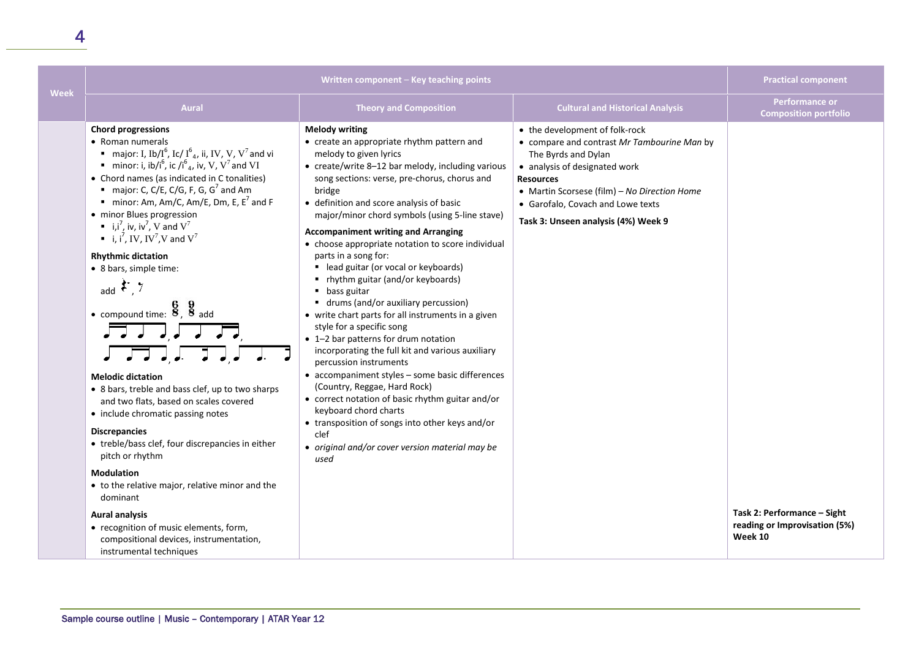| <b>Week</b> | Written component - Key teaching points                                                                                                                                                                                                                                                                                                                                                                                                                                                                                                                                                                                                                                                                                                                                                                                                                                                                                                                                                                                                                                                                                                                                                                              |                                                                                                                                                                                                                                                                                                                                                                                                                                                                                                                                                                                                                                                                                                                                                                                                                                                                                                                                                                                                                                                                                            |                                                                                                                                                                                                                                                                                       | <b>Practical component</b>                                              |
|-------------|----------------------------------------------------------------------------------------------------------------------------------------------------------------------------------------------------------------------------------------------------------------------------------------------------------------------------------------------------------------------------------------------------------------------------------------------------------------------------------------------------------------------------------------------------------------------------------------------------------------------------------------------------------------------------------------------------------------------------------------------------------------------------------------------------------------------------------------------------------------------------------------------------------------------------------------------------------------------------------------------------------------------------------------------------------------------------------------------------------------------------------------------------------------------------------------------------------------------|--------------------------------------------------------------------------------------------------------------------------------------------------------------------------------------------------------------------------------------------------------------------------------------------------------------------------------------------------------------------------------------------------------------------------------------------------------------------------------------------------------------------------------------------------------------------------------------------------------------------------------------------------------------------------------------------------------------------------------------------------------------------------------------------------------------------------------------------------------------------------------------------------------------------------------------------------------------------------------------------------------------------------------------------------------------------------------------------|---------------------------------------------------------------------------------------------------------------------------------------------------------------------------------------------------------------------------------------------------------------------------------------|-------------------------------------------------------------------------|
|             | Aural                                                                                                                                                                                                                                                                                                                                                                                                                                                                                                                                                                                                                                                                                                                                                                                                                                                                                                                                                                                                                                                                                                                                                                                                                | <b>Theory and Composition</b>                                                                                                                                                                                                                                                                                                                                                                                                                                                                                                                                                                                                                                                                                                                                                                                                                                                                                                                                                                                                                                                              | <b>Cultural and Historical Analysis</b>                                                                                                                                                                                                                                               | <b>Performance or</b><br><b>Composition portfolio</b>                   |
|             | <b>Chord progressions</b><br>• Roman numerals<br><b>n</b> major: I, Ib/I <sup>6</sup> , Ic/ I <sup>6</sup> <sub>4</sub> , ii, IV, V, V <sup>7</sup> and vi<br>minor: i, ib/i <sup>6</sup> , ic/i <sup>6</sup> <sub>4</sub> , iv, V, V <sup>7</sup> and VI<br>• Chord names (as indicated in C tonalities)<br>major: C, C/E, C/G, F, G, G <sup>7</sup> and Am<br>minor: Am, Am/C, Am/E, Dm, E, $E^7$ and F<br>• minor Blues progression<br>$\bullet$ i,i <sup>7</sup> , iv, iv <sup>7</sup> , V and V <sup>7</sup><br>i, i <sup>7</sup> , IV, IV <sup>7</sup> , V and V <sup>7</sup><br><b>Rhythmic dictation</b><br>• 8 bars, simple time:<br>add $\mathcal{F}$ , 7<br>• compound time: $\frac{6}{8}$ , $\frac{9}{8}$ add<br><b>Melodic dictation</b><br>• 8 bars, treble and bass clef, up to two sharps<br>and two flats, based on scales covered<br>• include chromatic passing notes<br><b>Discrepancies</b><br>• treble/bass clef, four discrepancies in either<br>pitch or rhythm<br><b>Modulation</b><br>• to the relative major, relative minor and the<br>dominant<br><b>Aural analysis</b><br>• recognition of music elements, form,<br>compositional devices, instrumentation,<br>instrumental techniques | <b>Melody writing</b><br>• create an appropriate rhythm pattern and<br>melody to given lyrics<br>• create/write 8-12 bar melody, including various<br>song sections: verse, pre-chorus, chorus and<br>bridge<br>• definition and score analysis of basic<br>major/minor chord symbols (using 5-line stave)<br><b>Accompaniment writing and Arranging</b><br>• choose appropriate notation to score individual<br>parts in a song for:<br>■ lead guitar (or vocal or keyboards)<br>" rhythm guitar (and/or keyboards)<br>$\blacksquare$ bass guitar<br>■ drums (and/or auxiliary percussion)<br>• write chart parts for all instruments in a given<br>style for a specific song<br>• 1-2 bar patterns for drum notation<br>incorporating the full kit and various auxiliary<br>percussion instruments<br>• accompaniment styles - some basic differences<br>(Country, Reggae, Hard Rock)<br>• correct notation of basic rhythm guitar and/or<br>keyboard chord charts<br>• transposition of songs into other keys and/or<br>clef<br>• original and/or cover version material may be<br>used | • the development of folk-rock<br>• compare and contrast Mr Tambourine Man by<br>The Byrds and Dylan<br>• analysis of designated work<br><b>Resources</b><br>• Martin Scorsese (film) - No Direction Home<br>• Garofalo, Covach and Lowe texts<br>Task 3: Unseen analysis (4%) Week 9 | Task 2: Performance - Sight<br>reading or Improvisation (5%)<br>Week 10 |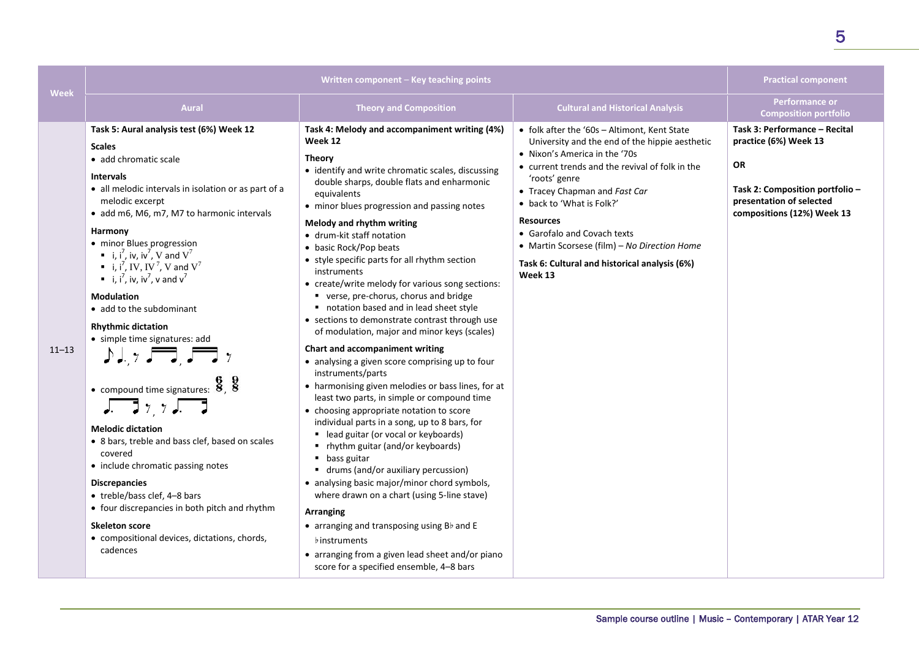|           | Written component - Key teaching points                                                                                                                                                                                                                                                                                                                                                                                                                                                                                                                                                                                                                                                                                                                                                                                                                                                                                                                                                                                                                            |                                                                                                                                                                                                                                                                                                                                                                                                                                                                                                                                                                                                                                                                                                                                                                                                                                                                                                                                                                                                                                                                                                                                                                                                                                                                                                                                                                                                            | <b>Practical component</b>                                                                                                                                                                                                                                                                                                                                                                                                       |                                                                                                                                                                  |
|-----------|--------------------------------------------------------------------------------------------------------------------------------------------------------------------------------------------------------------------------------------------------------------------------------------------------------------------------------------------------------------------------------------------------------------------------------------------------------------------------------------------------------------------------------------------------------------------------------------------------------------------------------------------------------------------------------------------------------------------------------------------------------------------------------------------------------------------------------------------------------------------------------------------------------------------------------------------------------------------------------------------------------------------------------------------------------------------|------------------------------------------------------------------------------------------------------------------------------------------------------------------------------------------------------------------------------------------------------------------------------------------------------------------------------------------------------------------------------------------------------------------------------------------------------------------------------------------------------------------------------------------------------------------------------------------------------------------------------------------------------------------------------------------------------------------------------------------------------------------------------------------------------------------------------------------------------------------------------------------------------------------------------------------------------------------------------------------------------------------------------------------------------------------------------------------------------------------------------------------------------------------------------------------------------------------------------------------------------------------------------------------------------------------------------------------------------------------------------------------------------------|----------------------------------------------------------------------------------------------------------------------------------------------------------------------------------------------------------------------------------------------------------------------------------------------------------------------------------------------------------------------------------------------------------------------------------|------------------------------------------------------------------------------------------------------------------------------------------------------------------|
| Week      | <b>Aural</b>                                                                                                                                                                                                                                                                                                                                                                                                                                                                                                                                                                                                                                                                                                                                                                                                                                                                                                                                                                                                                                                       | <b>Theory and Composition</b>                                                                                                                                                                                                                                                                                                                                                                                                                                                                                                                                                                                                                                                                                                                                                                                                                                                                                                                                                                                                                                                                                                                                                                                                                                                                                                                                                                              | <b>Cultural and Historical Analysis</b>                                                                                                                                                                                                                                                                                                                                                                                          | Performance or<br><b>Composition portfolio</b>                                                                                                                   |
| $11 - 13$ | Task 5: Aural analysis test (6%) Week 12<br><b>Scales</b><br>• add chromatic scale<br><b>Intervals</b><br>• all melodic intervals in isolation or as part of a<br>melodic excerpt<br>• add m6, M6, m7, M7 to harmonic intervals<br>Harmony<br>• minor Blues progression<br>• i, i <sup>7</sup> , iv, iv <sup>7</sup> , V and $V^7$<br>i, i <sup>7</sup> , IV, IV <sup>7</sup> , V and V <sup>7</sup><br>$\blacksquare$ i, i <sup>7</sup> , iv, iv <sup>7</sup> , v and v <sup>7</sup><br><b>Modulation</b><br>• add to the subdominant<br><b>Rhythmic dictation</b><br>• simple time signatures: add<br>$J\downarrow, \gamma$ , $\Box$ , $\Box$ $\gamma$<br>• compound time signatures: $\frac{6}{8}$ , $\frac{9}{8}$<br>$\sqrt{277}$<br><b>Melodic dictation</b><br>• 8 bars, treble and bass clef, based on scales<br>covered<br>• include chromatic passing notes<br><b>Discrepancies</b><br>• treble/bass clef, 4-8 bars<br>• four discrepancies in both pitch and rhythm<br><b>Skeleton score</b><br>• compositional devices, dictations, chords,<br>cadences | Task 4: Melody and accompaniment writing (4%)<br>Week 12<br><b>Theory</b><br>• identify and write chromatic scales, discussing<br>double sharps, double flats and enharmonic<br>equivalents<br>• minor blues progression and passing notes<br>Melody and rhythm writing<br>• drum-kit staff notation<br>• basic Rock/Pop beats<br>• style specific parts for all rhythm section<br>instruments<br>• create/write melody for various song sections:<br>verse, pre-chorus, chorus and bridge<br>notation based and in lead sheet style<br>• sections to demonstrate contrast through use<br>of modulation, major and minor keys (scales)<br>Chart and accompaniment writing<br>• analysing a given score comprising up to four<br>instruments/parts<br>• harmonising given melodies or bass lines, for at<br>least two parts, in simple or compound time<br>• choosing appropriate notation to score<br>individual parts in a song, up to 8 bars, for<br>■ lead guitar (or vocal or keyboards)<br>" rhythm guitar (and/or keyboards)<br>$\blacksquare$ bass guitar<br>■ drums (and/or auxiliary percussion)<br>• analysing basic major/minor chord symbols,<br>where drawn on a chart (using 5-line stave)<br>Arranging<br>$\bullet$ arranging and transposing using B $\flat$ and E<br><b>b</b> instruments<br>• arranging from a given lead sheet and/or piano<br>score for a specified ensemble, 4-8 bars | • folk after the '60s - Altimont, Kent State<br>University and the end of the hippie aesthetic<br>• Nixon's America in the '70s<br>• current trends and the revival of folk in the<br>'roots' genre<br>• Tracey Chapman and Fast Car<br>• back to 'What is Folk?'<br><b>Resources</b><br>• Garofalo and Covach texts<br>• Martin Scorsese (film) - No Direction Home<br>Task 6: Cultural and historical analysis (6%)<br>Week 13 | Task 3: Performance - Recital<br>practice (6%) Week 13<br><b>OR</b><br>Task 2: Composition portfolio -<br>presentation of selected<br>compositions (12%) Week 13 |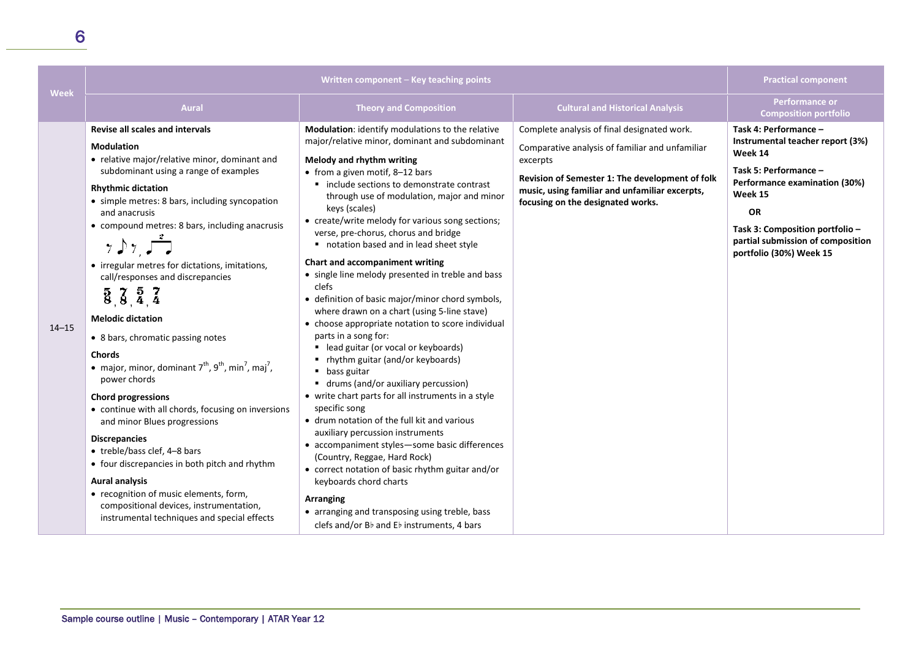|           | Written component - Key teaching points                                                                                                                                                                                                                                                                                                                                                                                                                                                                                                                                                                                                                                                                                                                                                                                                                                                                                                                                                                                                             |                                                                                                                                                                                                                                                                                                                                                                                                                                                                                                                                                                                                                                                                                                                                                                                                                                                                                                                                                                                                                                                                                                                                                                                                                                                                                       |                                                                                                                                                                                                                                                      | <b>Practical component</b>                                                                                                                                                                                                                                |
|-----------|-----------------------------------------------------------------------------------------------------------------------------------------------------------------------------------------------------------------------------------------------------------------------------------------------------------------------------------------------------------------------------------------------------------------------------------------------------------------------------------------------------------------------------------------------------------------------------------------------------------------------------------------------------------------------------------------------------------------------------------------------------------------------------------------------------------------------------------------------------------------------------------------------------------------------------------------------------------------------------------------------------------------------------------------------------|---------------------------------------------------------------------------------------------------------------------------------------------------------------------------------------------------------------------------------------------------------------------------------------------------------------------------------------------------------------------------------------------------------------------------------------------------------------------------------------------------------------------------------------------------------------------------------------------------------------------------------------------------------------------------------------------------------------------------------------------------------------------------------------------------------------------------------------------------------------------------------------------------------------------------------------------------------------------------------------------------------------------------------------------------------------------------------------------------------------------------------------------------------------------------------------------------------------------------------------------------------------------------------------|------------------------------------------------------------------------------------------------------------------------------------------------------------------------------------------------------------------------------------------------------|-----------------------------------------------------------------------------------------------------------------------------------------------------------------------------------------------------------------------------------------------------------|
| Week      | <b>Aural</b>                                                                                                                                                                                                                                                                                                                                                                                                                                                                                                                                                                                                                                                                                                                                                                                                                                                                                                                                                                                                                                        | <b>Theory and Composition</b>                                                                                                                                                                                                                                                                                                                                                                                                                                                                                                                                                                                                                                                                                                                                                                                                                                                                                                                                                                                                                                                                                                                                                                                                                                                         | <b>Cultural and Historical Analysis</b>                                                                                                                                                                                                              | <b>Performance or</b><br><b>Composition portfolio</b>                                                                                                                                                                                                     |
| $14 - 15$ | <b>Revise all scales and intervals</b><br><b>Modulation</b><br>• relative major/relative minor, dominant and<br>subdominant using a range of examples<br><b>Rhythmic dictation</b><br>• simple metres: 8 bars, including syncopation<br>and anacrusis<br>• compound metres: 8 bars, including anacrusis<br>7.97.77<br>• irregular metres for dictations, imitations,<br>call/responses and discrepancies<br>$\frac{5}{8}, \frac{7}{8}, \frac{5}{4}, \frac{7}{4}$<br><b>Melodic dictation</b><br>• 8 bars, chromatic passing notes<br><b>Chords</b><br>• major, minor, dominant $7^{th}$ , $9^{th}$ , min <sup>7</sup> , maj <sup>7</sup> ,<br>power chords<br><b>Chord progressions</b><br>• continue with all chords, focusing on inversions<br>and minor Blues progressions<br><b>Discrepancies</b><br>• treble/bass clef, 4-8 bars<br>• four discrepancies in both pitch and rhythm<br><b>Aural analysis</b><br>• recognition of music elements, form,<br>compositional devices, instrumentation,<br>instrumental techniques and special effects | Modulation: identify modulations to the relative<br>major/relative minor, dominant and subdominant<br>Melody and rhythm writing<br>• from a given motif, 8-12 bars<br>■ include sections to demonstrate contrast<br>through use of modulation, major and minor<br>keys (scales)<br>• create/write melody for various song sections;<br>verse, pre-chorus, chorus and bridge<br>notation based and in lead sheet style<br>Chart and accompaniment writing<br>• single line melody presented in treble and bass<br>clefs<br>• definition of basic major/minor chord symbols,<br>where drawn on a chart (using 5-line stave)<br>• choose appropriate notation to score individual<br>parts in a song for:<br>■ lead guitar (or vocal or keyboards)<br>" rhythm guitar (and/or keyboards)<br>• bass guitar<br>■ drums (and/or auxiliary percussion)<br>• write chart parts for all instruments in a style<br>specific song<br>• drum notation of the full kit and various<br>auxiliary percussion instruments<br>• accompaniment styles-some basic differences<br>(Country, Reggae, Hard Rock)<br>• correct notation of basic rhythm guitar and/or<br>keyboards chord charts<br>Arranging<br>• arranging and transposing using treble, bass<br>clefs and/or Bb and Eb instruments, 4 bars | Complete analysis of final designated work.<br>Comparative analysis of familiar and unfamiliar<br>excerpts<br>Revision of Semester 1: The development of folk<br>music, using familiar and unfamiliar excerpts,<br>focusing on the designated works. | Task 4: Performance -<br>Instrumental teacher report (3%)<br>Week 14<br>Task 5: Performance -<br>Performance examination (30%)<br>Week 15<br><b>OR</b><br>Task 3: Composition portfolio -<br>partial submission of composition<br>portfolio (30%) Week 15 |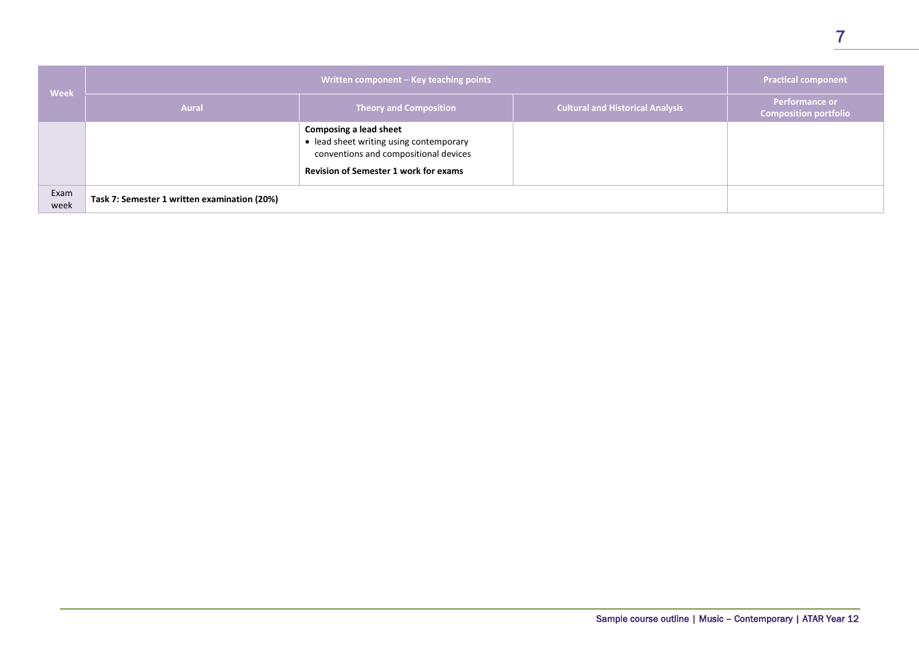| <b>Week</b>  | Written component - Key teaching points      |                                                                                                                                                                   | <b>Practical component</b>              |                                                |
|--------------|----------------------------------------------|-------------------------------------------------------------------------------------------------------------------------------------------------------------------|-----------------------------------------|------------------------------------------------|
|              | <b>Aural</b>                                 | <b>Theory and Composition</b>                                                                                                                                     | <b>Cultural and Historical Analysis</b> | <b>Performance or</b><br>Composition portfolio |
|              |                                              | <b>Composing a lead sheet</b><br>· lead sheet writing using contemporary<br>conventions and compositional devices<br><b>Revision of Semester 1 work for exams</b> |                                         |                                                |
| Exam<br>week | Task 7: Semester 1 written examination (20%) |                                                                                                                                                                   |                                         |                                                |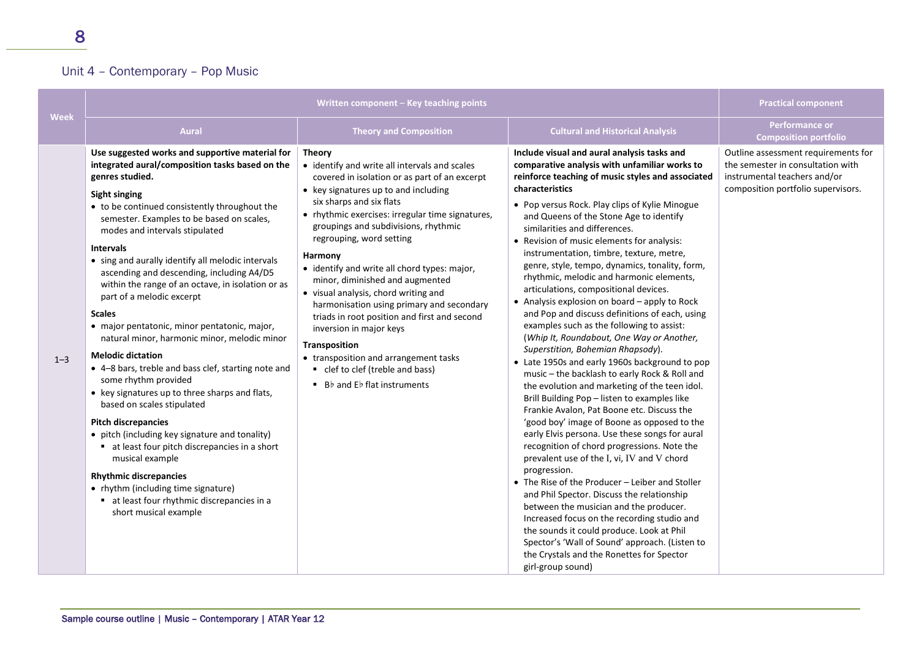### Unit 4 – Contemporary – Pop Music

|         | Written component - Key teaching points                                                                                                                                                                                                                                                                                                                                                                                                                                                                                                                                                                                                                                                                                                                                                                                                                                                                                                                                                                                                                                                                |                                                                                                                                                                                                                                                                                                                                                                                                                                                                                                                                                                                                                                                                                                                      | <b>Practical component</b>                                                                                                                                                                                                                                                                                                                                                                                                                                                                                                                                                                                                                                                                                                                                                                                                                                                                                                                                                                                                                                                                                                                                                                                                                                                                                                                                                                                                                                                                                                                                                                       |                                                                                                                                                |
|---------|--------------------------------------------------------------------------------------------------------------------------------------------------------------------------------------------------------------------------------------------------------------------------------------------------------------------------------------------------------------------------------------------------------------------------------------------------------------------------------------------------------------------------------------------------------------------------------------------------------------------------------------------------------------------------------------------------------------------------------------------------------------------------------------------------------------------------------------------------------------------------------------------------------------------------------------------------------------------------------------------------------------------------------------------------------------------------------------------------------|----------------------------------------------------------------------------------------------------------------------------------------------------------------------------------------------------------------------------------------------------------------------------------------------------------------------------------------------------------------------------------------------------------------------------------------------------------------------------------------------------------------------------------------------------------------------------------------------------------------------------------------------------------------------------------------------------------------------|--------------------------------------------------------------------------------------------------------------------------------------------------------------------------------------------------------------------------------------------------------------------------------------------------------------------------------------------------------------------------------------------------------------------------------------------------------------------------------------------------------------------------------------------------------------------------------------------------------------------------------------------------------------------------------------------------------------------------------------------------------------------------------------------------------------------------------------------------------------------------------------------------------------------------------------------------------------------------------------------------------------------------------------------------------------------------------------------------------------------------------------------------------------------------------------------------------------------------------------------------------------------------------------------------------------------------------------------------------------------------------------------------------------------------------------------------------------------------------------------------------------------------------------------------------------------------------------------------|------------------------------------------------------------------------------------------------------------------------------------------------|
| Week    | <b>Aural</b>                                                                                                                                                                                                                                                                                                                                                                                                                                                                                                                                                                                                                                                                                                                                                                                                                                                                                                                                                                                                                                                                                           | <b>Theory and Composition</b>                                                                                                                                                                                                                                                                                                                                                                                                                                                                                                                                                                                                                                                                                        | <b>Cultural and Historical Analysis</b>                                                                                                                                                                                                                                                                                                                                                                                                                                                                                                                                                                                                                                                                                                                                                                                                                                                                                                                                                                                                                                                                                                                                                                                                                                                                                                                                                                                                                                                                                                                                                          | <b>Performance or</b><br><b>Composition portfolio</b>                                                                                          |
| $1 - 3$ | Use suggested works and supportive material for<br>integrated aural/composition tasks based on the<br>genres studied.<br><b>Sight singing</b><br>• to be continued consistently throughout the<br>semester. Examples to be based on scales,<br>modes and intervals stipulated<br><b>Intervals</b><br>• sing and aurally identify all melodic intervals<br>ascending and descending, including A4/D5<br>within the range of an octave, in isolation or as<br>part of a melodic excerpt<br><b>Scales</b><br>· major pentatonic, minor pentatonic, major,<br>natural minor, harmonic minor, melodic minor<br><b>Melodic dictation</b><br>• 4-8 bars, treble and bass clef, starting note and<br>some rhythm provided<br>• key signatures up to three sharps and flats,<br>based on scales stipulated<br><b>Pitch discrepancies</b><br>• pitch (including key signature and tonality)<br>• at least four pitch discrepancies in a short<br>musical example<br><b>Rhythmic discrepancies</b><br>• rhythm (including time signature)<br>• at least four rhythmic discrepancies in a<br>short musical example | <b>Theory</b><br>• identify and write all intervals and scales<br>covered in isolation or as part of an excerpt<br>• key signatures up to and including<br>six sharps and six flats<br>• rhythmic exercises: irregular time signatures,<br>groupings and subdivisions, rhythmic<br>regrouping, word setting<br>Harmony<br>• identify and write all chord types: major,<br>minor, diminished and augmented<br>• visual analysis, chord writing and<br>harmonisation using primary and secondary<br>triads in root position and first and second<br>inversion in major keys<br>Transposition<br>• transposition and arrangement tasks<br>• clef to clef (treble and bass)<br>$\blacksquare$ Bb and Eb flat instruments | Include visual and aural analysis tasks and<br>comparative analysis with unfamiliar works to<br>reinforce teaching of music styles and associated<br>characteristics<br>• Pop versus Rock. Play clips of Kylie Minogue<br>and Queens of the Stone Age to identify<br>similarities and differences.<br>• Revision of music elements for analysis:<br>instrumentation, timbre, texture, metre,<br>genre, style, tempo, dynamics, tonality, form,<br>rhythmic, melodic and harmonic elements,<br>articulations, compositional devices.<br>• Analysis explosion on board - apply to Rock<br>and Pop and discuss definitions of each, using<br>examples such as the following to assist:<br>(Whip It, Roundabout, One Way or Another,<br>Superstition, Bohemian Rhapsody).<br>• Late 1950s and early 1960s background to pop<br>music - the backlash to early Rock & Roll and<br>the evolution and marketing of the teen idol.<br>Brill Building Pop - listen to examples like<br>Frankie Avalon, Pat Boone etc. Discuss the<br>'good boy' image of Boone as opposed to the<br>early Elvis persona. Use these songs for aural<br>recognition of chord progressions. Note the<br>prevalent use of the I, vi, IV and V chord<br>progression.<br>• The Rise of the Producer - Leiber and Stoller<br>and Phil Spector. Discuss the relationship<br>between the musician and the producer.<br>Increased focus on the recording studio and<br>the sounds it could produce. Look at Phil<br>Spector's 'Wall of Sound' approach. (Listen to<br>the Crystals and the Ronettes for Spector<br>girl-group sound) | Outline assessment requirements for<br>the semester in consultation with<br>instrumental teachers and/or<br>composition portfolio supervisors. |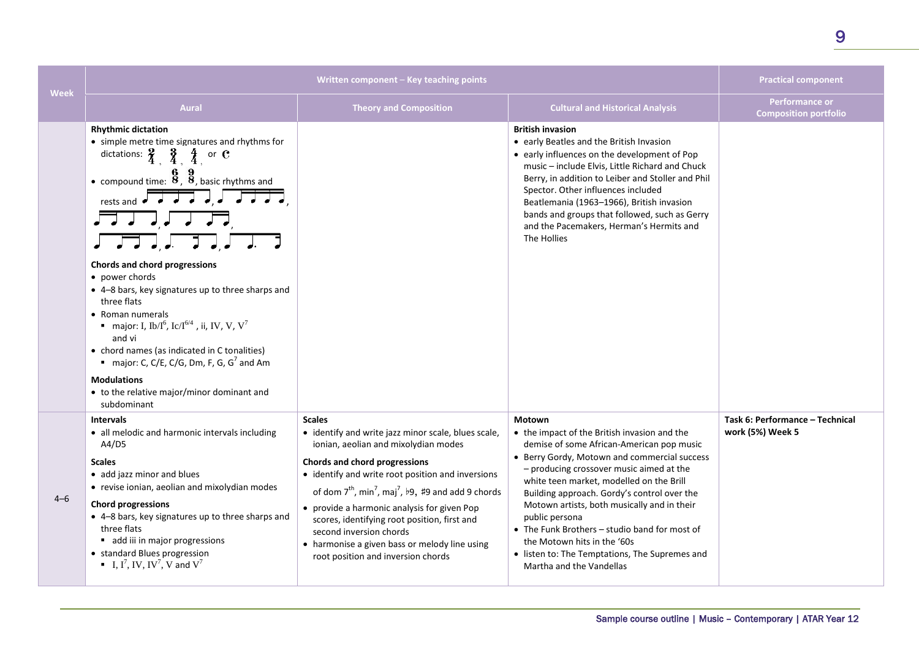| <b>Week</b> | Written component – Key teaching points                                                                                                                                                                                                                                                                                                                                                                                                                                                                                                                                                                                                                                                                                       |                                                                                                                                                                                                                                                                                                                                                                                                                                                                                                        |                                                                                                                                                                                                                                                                                                                                                                                                                                                                                                                                  | <b>Practical component</b>                          |
|-------------|-------------------------------------------------------------------------------------------------------------------------------------------------------------------------------------------------------------------------------------------------------------------------------------------------------------------------------------------------------------------------------------------------------------------------------------------------------------------------------------------------------------------------------------------------------------------------------------------------------------------------------------------------------------------------------------------------------------------------------|--------------------------------------------------------------------------------------------------------------------------------------------------------------------------------------------------------------------------------------------------------------------------------------------------------------------------------------------------------------------------------------------------------------------------------------------------------------------------------------------------------|----------------------------------------------------------------------------------------------------------------------------------------------------------------------------------------------------------------------------------------------------------------------------------------------------------------------------------------------------------------------------------------------------------------------------------------------------------------------------------------------------------------------------------|-----------------------------------------------------|
|             | <b>Aural</b>                                                                                                                                                                                                                                                                                                                                                                                                                                                                                                                                                                                                                                                                                                                  | <b>Theory and Composition</b>                                                                                                                                                                                                                                                                                                                                                                                                                                                                          | <b>Cultural and Historical Analysis</b>                                                                                                                                                                                                                                                                                                                                                                                                                                                                                          | Performance or<br><b>Composition portfolio</b>      |
|             | <b>Rhythmic dictation</b><br>• simple metre time signatures and rhythms for<br>dictations: $\frac{2}{4}$ , $\frac{3}{4}$ , $\frac{4}{4}$ or C<br>• compound time: $\frac{6}{8}$ , $\frac{9}{8}$ , basic rhythms and<br>rests and $\overrightarrow{a}$ $\overrightarrow{a}$ $\overrightarrow{a}$ $\overrightarrow{a}$ $\overrightarrow{a}$<br>لى لى 1 كىل<br>Chords and chord progressions<br>• power chords<br>• 4-8 bars, key signatures up to three sharps and<br>three flats<br>• Roman numerals<br>• major: I, Ib/I <sup>6</sup> , Ic/I <sup>6/4</sup> , ii, IV, V, V <sup>7</sup><br>and vi<br>• chord names (as indicated in C tonalities)<br>major: C, C/E, C/G, Dm, F, G, G <sup>7</sup> and Am<br><b>Modulations</b> |                                                                                                                                                                                                                                                                                                                                                                                                                                                                                                        | <b>British invasion</b><br>• early Beatles and the British Invasion<br>• early influences on the development of Pop<br>music - include Elvis, Little Richard and Chuck<br>Berry, in addition to Leiber and Stoller and Phil<br>Spector. Other influences included<br>Beatlemania (1963-1966), British invasion<br>bands and groups that followed, such as Gerry<br>and the Pacemakers, Herman's Hermits and<br>The Hollies                                                                                                       |                                                     |
|             | • to the relative major/minor dominant and<br>subdominant                                                                                                                                                                                                                                                                                                                                                                                                                                                                                                                                                                                                                                                                     |                                                                                                                                                                                                                                                                                                                                                                                                                                                                                                        |                                                                                                                                                                                                                                                                                                                                                                                                                                                                                                                                  |                                                     |
| $4 - 6$     | <b>Intervals</b><br>• all melodic and harmonic intervals including<br>A4/D5<br><b>Scales</b><br>• add jazz minor and blues<br>• revise ionian, aeolian and mixolydian modes<br><b>Chord progressions</b><br>• 4-8 bars, key signatures up to three sharps and<br>three flats<br>add iii in major progressions<br>• standard Blues progression<br>$\blacksquare$ I, I <sup>7</sup> , IV, IV <sup>7</sup> , V and V <sup>7</sup>                                                                                                                                                                                                                                                                                                | <b>Scales</b><br>• identify and write jazz minor scale, blues scale,<br>ionian, aeolian and mixolydian modes<br>Chords and chord progressions<br>• identify and write root position and inversions<br>of dom $7^{th}$ , min <sup>7</sup> , maj <sup>7</sup> , b9, #9 and add 9 chords<br>• provide a harmonic analysis for given Pop<br>scores, identifying root position, first and<br>second inversion chords<br>• harmonise a given bass or melody line using<br>root position and inversion chords | <b>Motown</b><br>• the impact of the British invasion and the<br>demise of some African-American pop music<br>• Berry Gordy, Motown and commercial success<br>- producing crossover music aimed at the<br>white teen market, modelled on the Brill<br>Building approach. Gordy's control over the<br>Motown artists, both musically and in their<br>public persona<br>• The Funk Brothers – studio band for most of<br>the Motown hits in the '60s<br>• listen to: The Temptations, The Supremes and<br>Martha and the Vandellas | Task 6: Performance - Technical<br>work (5%) Week 5 |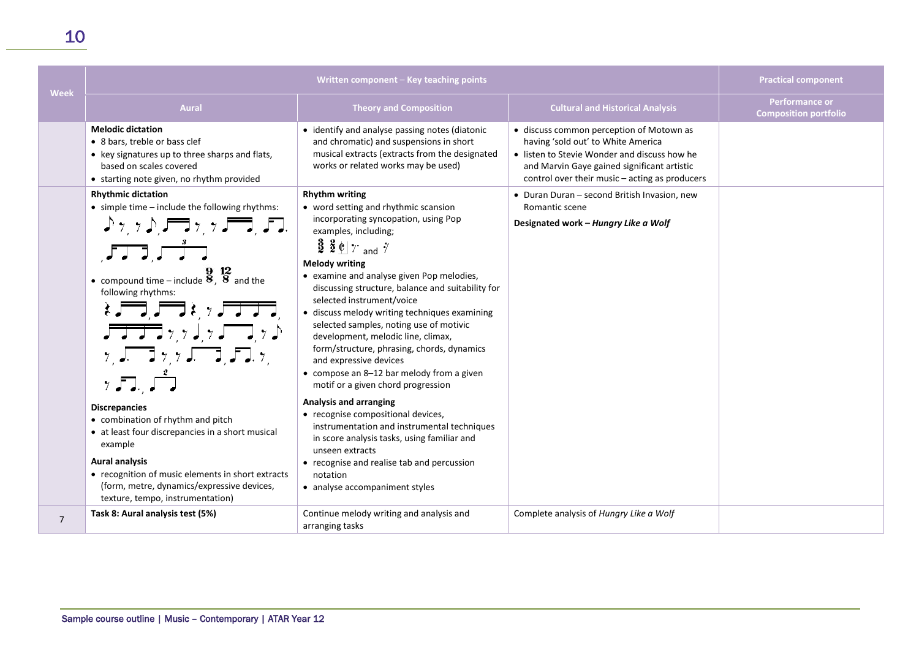| Week           | Written component - Key teaching points                                                                                                                                                                                                                                                                                                                                                                                                                                                                                                                                                                                                                                                                                                                                                                |                                                                                                                                                                                                                                                                                                                                                                                                                                                                                                                                            | <b>Practical component</b>                                                                                                                                                                                                                                                                                                                |                                                       |
|----------------|--------------------------------------------------------------------------------------------------------------------------------------------------------------------------------------------------------------------------------------------------------------------------------------------------------------------------------------------------------------------------------------------------------------------------------------------------------------------------------------------------------------------------------------------------------------------------------------------------------------------------------------------------------------------------------------------------------------------------------------------------------------------------------------------------------|--------------------------------------------------------------------------------------------------------------------------------------------------------------------------------------------------------------------------------------------------------------------------------------------------------------------------------------------------------------------------------------------------------------------------------------------------------------------------------------------------------------------------------------------|-------------------------------------------------------------------------------------------------------------------------------------------------------------------------------------------------------------------------------------------------------------------------------------------------------------------------------------------|-------------------------------------------------------|
|                | <b>Aural</b>                                                                                                                                                                                                                                                                                                                                                                                                                                                                                                                                                                                                                                                                                                                                                                                           | <b>Theory and Composition</b>                                                                                                                                                                                                                                                                                                                                                                                                                                                                                                              | <b>Cultural and Historical Analysis</b>                                                                                                                                                                                                                                                                                                   | <b>Performance or</b><br><b>Composition portfolio</b> |
|                | <b>Melodic dictation</b><br>• 8 bars, treble or bass clef<br>• key signatures up to three sharps and flats,<br>based on scales covered<br>• starting note given, no rhythm provided<br><b>Rhythmic dictation</b><br>• simple time - include the following rhythms:<br>$\Gamma$ , $\Gamma$ , $\Gamma$ , $\Gamma$ , $\Gamma$ , $\Gamma$ , $\Gamma$ , $\Gamma$ , $\Gamma$ , $\Gamma$ , $\Gamma$ , $\Gamma$ , $\Gamma$ , $\Gamma$ , $\Gamma$ , $\Gamma$ , $\Gamma$ , $\Gamma$ , $\Gamma$ , $\Gamma$ , $\Gamma$ , $\Gamma$ , $\Gamma$ , $\Gamma$ , $\Gamma$ , $\Gamma$ , $\Gamma$ , $\Gamma$ , $\Gamma$ , $\Gamma$ , $\Gamma$ , $\Gamma$ , $\Gamma$ , $\Gamma$ , $\Gamma$ , $\Gamma$ , $\Gamma$ ,<br>$JJJ$ , $JJ$<br>• compound time – include $\frac{9}{8}$ , $\frac{12}{8}$ and the<br>following rhythms: | • identify and analyse passing notes (diatonic<br>and chromatic) and suspensions in short<br>musical extracts (extracts from the designated<br>works or related works may be used)<br><b>Rhythm writing</b><br>• word setting and rhythmic scansion<br>incorporating syncopation, using Pop<br>examples, including;<br>$\frac{3}{2}$ $\frac{2}{5}$ $\frac{6}{7}$ and $\frac{7}{7}$<br><b>Melody writing</b><br>• examine and analyse given Pop melodies,<br>discussing structure, balance and suitability for<br>selected instrument/voice | • discuss common perception of Motown as<br>having 'sold out' to White America<br>• listen to Stevie Wonder and discuss how he<br>and Marvin Gaye gained significant artistic<br>control over their music – acting as producers<br>• Duran Duran - second British Invasion, new<br>Romantic scene<br>Designated work - Hungry Like a Wolf |                                                       |
|                | $\frac{1}{2}$<br>$\gamma$ , $\sqrt{2}$ , $\gamma$ , $\sqrt{2}$ , $\sqrt{2}$ , $\sqrt{2}$ , $\gamma$<br>75.5                                                                                                                                                                                                                                                                                                                                                                                                                                                                                                                                                                                                                                                                                            | • discuss melody writing techniques examining<br>selected samples, noting use of motivic<br>development, melodic line, climax,<br>form/structure, phrasing, chords, dynamics<br>and expressive devices<br>• compose an 8-12 bar melody from a given<br>motif or a given chord progression                                                                                                                                                                                                                                                  |                                                                                                                                                                                                                                                                                                                                           |                                                       |
|                | <b>Discrepancies</b><br>• combination of rhythm and pitch<br>• at least four discrepancies in a short musical<br>example<br><b>Aural analysis</b><br>• recognition of music elements in short extracts<br>(form, metre, dynamics/expressive devices,<br>texture, tempo, instrumentation)                                                                                                                                                                                                                                                                                                                                                                                                                                                                                                               | Analysis and arranging<br>• recognise compositional devices,<br>instrumentation and instrumental techniques<br>in score analysis tasks, using familiar and<br>unseen extracts<br>• recognise and realise tab and percussion<br>notation<br>• analyse accompaniment styles                                                                                                                                                                                                                                                                  |                                                                                                                                                                                                                                                                                                                                           |                                                       |
| $\overline{7}$ | Task 8: Aural analysis test (5%)                                                                                                                                                                                                                                                                                                                                                                                                                                                                                                                                                                                                                                                                                                                                                                       | Continue melody writing and analysis and<br>arranging tasks                                                                                                                                                                                                                                                                                                                                                                                                                                                                                | Complete analysis of Hungry Like a Wolf                                                                                                                                                                                                                                                                                                   |                                                       |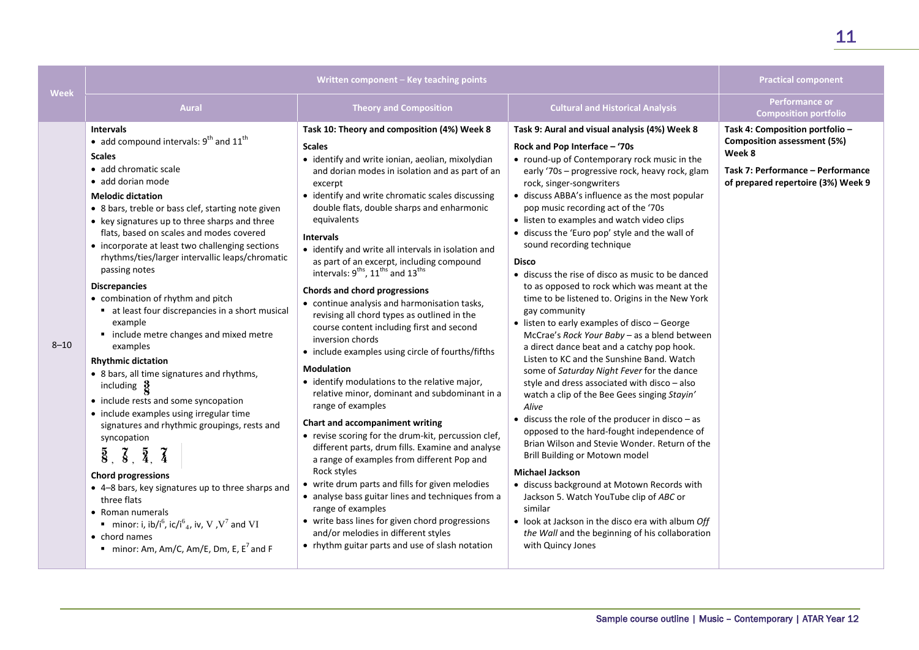| Week     |                                                                                                                                                                                                                                                                                                                                                                                                                                                                                                                                                                                                                                                                                                                                                                                                                                                                                                                                                                                                                                                                                                                                                                                                                                                     | Written component - Key teaching points                                                                                                                                                                                                                                                                                                                                                                                                                                                                                                                                                                                                                                                                                                                                                                                                                                                                                                                                                                                                                                                                                                                                                                                                                                                                                                                                                 |                                                                                                                                                                                                                                                                                                                                                                                                                                                                                                                                                                                                                                                                                                                                                                                                                                                                                                                                                                                                                                                                                                                                                                                                                                                                                                                                                                                                                                         | <b>Practical component</b>                                                                                                                                 |
|----------|-----------------------------------------------------------------------------------------------------------------------------------------------------------------------------------------------------------------------------------------------------------------------------------------------------------------------------------------------------------------------------------------------------------------------------------------------------------------------------------------------------------------------------------------------------------------------------------------------------------------------------------------------------------------------------------------------------------------------------------------------------------------------------------------------------------------------------------------------------------------------------------------------------------------------------------------------------------------------------------------------------------------------------------------------------------------------------------------------------------------------------------------------------------------------------------------------------------------------------------------------------|-----------------------------------------------------------------------------------------------------------------------------------------------------------------------------------------------------------------------------------------------------------------------------------------------------------------------------------------------------------------------------------------------------------------------------------------------------------------------------------------------------------------------------------------------------------------------------------------------------------------------------------------------------------------------------------------------------------------------------------------------------------------------------------------------------------------------------------------------------------------------------------------------------------------------------------------------------------------------------------------------------------------------------------------------------------------------------------------------------------------------------------------------------------------------------------------------------------------------------------------------------------------------------------------------------------------------------------------------------------------------------------------|-----------------------------------------------------------------------------------------------------------------------------------------------------------------------------------------------------------------------------------------------------------------------------------------------------------------------------------------------------------------------------------------------------------------------------------------------------------------------------------------------------------------------------------------------------------------------------------------------------------------------------------------------------------------------------------------------------------------------------------------------------------------------------------------------------------------------------------------------------------------------------------------------------------------------------------------------------------------------------------------------------------------------------------------------------------------------------------------------------------------------------------------------------------------------------------------------------------------------------------------------------------------------------------------------------------------------------------------------------------------------------------------------------------------------------------------|------------------------------------------------------------------------------------------------------------------------------------------------------------|
|          | <b>Aural</b>                                                                                                                                                                                                                                                                                                                                                                                                                                                                                                                                                                                                                                                                                                                                                                                                                                                                                                                                                                                                                                                                                                                                                                                                                                        | <b>Theory and Composition</b>                                                                                                                                                                                                                                                                                                                                                                                                                                                                                                                                                                                                                                                                                                                                                                                                                                                                                                                                                                                                                                                                                                                                                                                                                                                                                                                                                           | <b>Cultural and Historical Analysis</b>                                                                                                                                                                                                                                                                                                                                                                                                                                                                                                                                                                                                                                                                                                                                                                                                                                                                                                                                                                                                                                                                                                                                                                                                                                                                                                                                                                                                 | <b>Performance or</b><br><b>Composition portfolio</b>                                                                                                      |
| $8 - 10$ | <b>Intervals</b><br>• add compound intervals: $9^{th}$ and $11^{th}$<br><b>Scales</b><br>• add chromatic scale<br>• add dorian mode<br><b>Melodic dictation</b><br>• 8 bars, treble or bass clef, starting note given<br>• key signatures up to three sharps and three<br>flats, based on scales and modes covered<br>• incorporate at least two challenging sections<br>rhythms/ties/larger intervallic leaps/chromatic<br>passing notes<br><b>Discrepancies</b><br>• combination of rhythm and pitch<br>• at least four discrepancies in a short musical<br>example<br>• include metre changes and mixed metre<br>examples<br><b>Rhythmic dictation</b><br>• 8 bars, all time signatures and rhythms,<br>including $\frac{3}{2}$<br>• include rests and some syncopation<br>• include examples using irregular time<br>signatures and rhythmic groupings, rests and<br>syncopation<br>$\overline{8}$ , $\overline{8}$ , $\overline{4}$ , $\overline{4}$<br><b>Chord progressions</b><br>• 4-8 bars, key signatures up to three sharps and<br>three flats<br>• Roman numerals<br>minor: i, ib/i <sup>6</sup> , ic/i <sup>6</sup> <sub>4</sub> , iv, V, V <sup>7</sup> and VI<br>$\bullet$ chord names<br>minor: Am, Am/C, Am/E, Dm, E, $E^7$ and F | Task 10: Theory and composition (4%) Week 8<br><b>Scales</b><br>· identify and write ionian, aeolian, mixolydian<br>and dorian modes in isolation and as part of an<br>excerpt<br>• identify and write chromatic scales discussing<br>double flats, double sharps and enharmonic<br>equivalents<br><b>Intervals</b><br>• identify and write all intervals in isolation and<br>as part of an excerpt, including compound<br>intervals: 9 <sup>ths</sup> , 11 <sup>ths</sup> and 13 <sup>ths</sup><br>Chords and chord progressions<br>• continue analysis and harmonisation tasks,<br>revising all chord types as outlined in the<br>course content including first and second<br>inversion chords<br>• include examples using circle of fourths/fifths<br><b>Modulation</b><br>• identify modulations to the relative major,<br>relative minor, dominant and subdominant in a<br>range of examples<br>Chart and accompaniment writing<br>• revise scoring for the drum-kit, percussion clef,<br>different parts, drum fills. Examine and analyse<br>a range of examples from different Pop and<br>Rock styles<br>• write drum parts and fills for given melodies<br>• analyse bass guitar lines and techniques from a<br>range of examples<br>• write bass lines for given chord progressions<br>and/or melodies in different styles<br>• rhythm guitar parts and use of slash notation | Task 9: Aural and visual analysis (4%) Week 8<br>Rock and Pop Interface - '70s<br>• round-up of Contemporary rock music in the<br>early '70s - progressive rock, heavy rock, glam<br>rock, singer-songwriters<br>• discuss ABBA's influence as the most popular<br>pop music recording act of the '70s<br>• listen to examples and watch video clips<br>• discuss the 'Euro pop' style and the wall of<br>sound recording technique<br><b>Disco</b><br>• discuss the rise of disco as music to be danced<br>to as opposed to rock which was meant at the<br>time to be listened to. Origins in the New York<br>gay community<br>• listen to early examples of disco - George<br>McCrae's Rock Your Baby - as a blend between<br>a direct dance beat and a catchy pop hook.<br>Listen to KC and the Sunshine Band. Watch<br>some of Saturday Night Fever for the dance<br>style and dress associated with disco - also<br>watch a clip of the Bee Gees singing Stayin'<br>Alive<br>$\bullet$ discuss the role of the producer in disco - as<br>opposed to the hard-fought independence of<br>Brian Wilson and Stevie Wonder, Return of the<br>Brill Building or Motown model<br><b>Michael Jackson</b><br>· discuss background at Motown Records with<br>Jackson 5. Watch YouTube clip of ABC or<br>similar<br>• look at Jackson in the disco era with album Off<br>the Wall and the beginning of his collaboration<br>with Quincy Jones | Task 4: Composition portfolio -<br><b>Composition assessment (5%)</b><br>Week 8<br>Task 7: Performance - Performance<br>of prepared repertoire (3%) Week 9 |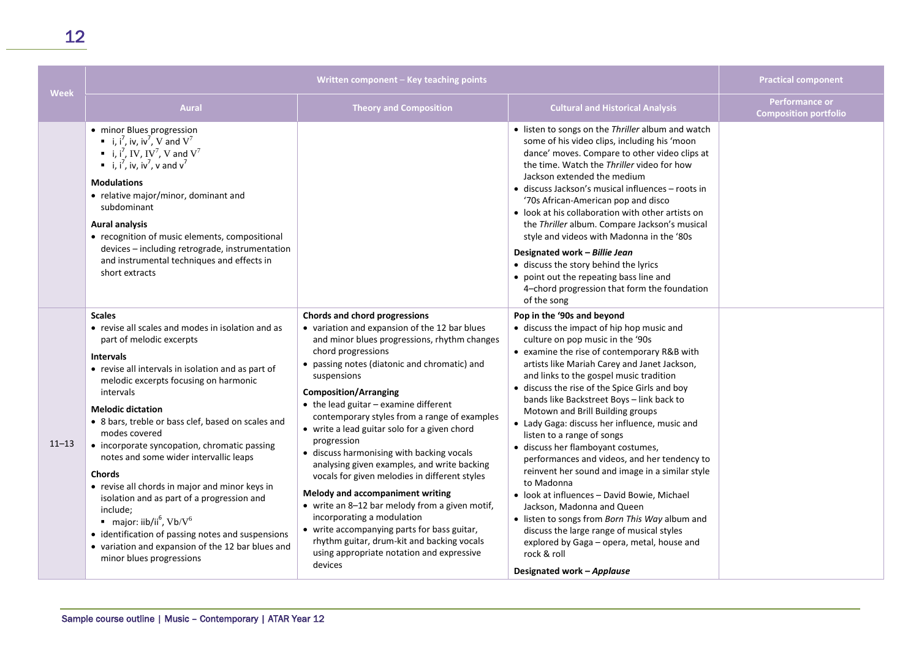| <b>Week</b> | Written component - Key teaching points                                                                                                                                                                                                                                                                                                                                                                                                                                                                                                                                                                                                                                                                                                                         |                                                                                                                                                                                                                                                                                                                                                                                                                                                                                                                                                                                                                                                                                                                                                                                                                                           | <b>Practical component</b>                                                                                                                                                                                                                                                                                                                                                                                                                                                                                                                                                                                                                                                                                                                                                                                                                                                                           |                                                |
|-------------|-----------------------------------------------------------------------------------------------------------------------------------------------------------------------------------------------------------------------------------------------------------------------------------------------------------------------------------------------------------------------------------------------------------------------------------------------------------------------------------------------------------------------------------------------------------------------------------------------------------------------------------------------------------------------------------------------------------------------------------------------------------------|-------------------------------------------------------------------------------------------------------------------------------------------------------------------------------------------------------------------------------------------------------------------------------------------------------------------------------------------------------------------------------------------------------------------------------------------------------------------------------------------------------------------------------------------------------------------------------------------------------------------------------------------------------------------------------------------------------------------------------------------------------------------------------------------------------------------------------------------|------------------------------------------------------------------------------------------------------------------------------------------------------------------------------------------------------------------------------------------------------------------------------------------------------------------------------------------------------------------------------------------------------------------------------------------------------------------------------------------------------------------------------------------------------------------------------------------------------------------------------------------------------------------------------------------------------------------------------------------------------------------------------------------------------------------------------------------------------------------------------------------------------|------------------------------------------------|
|             | <b>Aural</b>                                                                                                                                                                                                                                                                                                                                                                                                                                                                                                                                                                                                                                                                                                                                                    | <b>Theory and Composition</b>                                                                                                                                                                                                                                                                                                                                                                                                                                                                                                                                                                                                                                                                                                                                                                                                             | <b>Cultural and Historical Analysis</b>                                                                                                                                                                                                                                                                                                                                                                                                                                                                                                                                                                                                                                                                                                                                                                                                                                                              | Performance or<br><b>Composition portfolio</b> |
|             | • minor Blues progression<br>i, $i^7$ , iv, iv <sup>7</sup> , V and $V^7$<br>i, i <sup>7</sup> , IV, IV <sup>7</sup> , V and $V^7$<br>i, $i^7$ , iv, iv <sup>7</sup> , v and v <sup>7</sup><br><b>Modulations</b><br>• relative major/minor, dominant and<br>subdominant<br><b>Aural analysis</b><br>• recognition of music elements, compositional<br>devices - including retrograde, instrumentation<br>and instrumental techniques and effects in<br>short extracts                                                                                                                                                                                                                                                                                          |                                                                                                                                                                                                                                                                                                                                                                                                                                                                                                                                                                                                                                                                                                                                                                                                                                           | • listen to songs on the Thriller album and watch<br>some of his video clips, including his 'moon<br>dance' moves. Compare to other video clips at<br>the time. Watch the Thriller video for how<br>Jackson extended the medium<br>• discuss Jackson's musical influences – roots in<br>'70s African-American pop and disco<br>• look at his collaboration with other artists on<br>the Thriller album. Compare Jackson's musical<br>style and videos with Madonna in the '80s<br>Designated work - Billie Jean<br>· discuss the story behind the lyrics<br>• point out the repeating bass line and<br>4-chord progression that form the foundation<br>of the song                                                                                                                                                                                                                                   |                                                |
| $11 - 13$   | <b>Scales</b><br>• revise all scales and modes in isolation and as<br>part of melodic excerpts<br><b>Intervals</b><br>• revise all intervals in isolation and as part of<br>melodic excerpts focusing on harmonic<br>intervals<br><b>Melodic dictation</b><br>• 8 bars, treble or bass clef, based on scales and<br>modes covered<br>• incorporate syncopation, chromatic passing<br>notes and some wider intervallic leaps<br><b>Chords</b><br>• revise all chords in major and minor keys in<br>isolation and as part of a progression and<br>include:<br>$\blacksquare$ major: iib/ii <sup>6</sup> , Vb/V <sup>6</sup><br>• identification of passing notes and suspensions<br>• variation and expansion of the 12 bar blues and<br>minor blues progressions | Chords and chord progressions<br>• variation and expansion of the 12 bar blues<br>and minor blues progressions, rhythm changes<br>chord progressions<br>• passing notes (diatonic and chromatic) and<br>suspensions<br><b>Composition/Arranging</b><br>$\bullet$ the lead guitar - examine different<br>contemporary styles from a range of examples<br>• write a lead guitar solo for a given chord<br>progression<br>• discuss harmonising with backing vocals<br>analysing given examples, and write backing<br>vocals for given melodies in different styles<br>Melody and accompaniment writing<br>• write an 8-12 bar melody from a given motif,<br>incorporating a modulation<br>• write accompanying parts for bass guitar,<br>rhythm guitar, drum-kit and backing vocals<br>using appropriate notation and expressive<br>devices | Pop in the '90s and beyond<br>• discuss the impact of hip hop music and<br>culture on pop music in the '90s<br>• examine the rise of contemporary R&B with<br>artists like Mariah Carey and Janet Jackson,<br>and links to the gospel music tradition<br>• discuss the rise of the Spice Girls and boy<br>bands like Backstreet Boys - link back to<br>Motown and Brill Building groups<br>• Lady Gaga: discuss her influence, music and<br>listen to a range of songs<br>· discuss her flamboyant costumes,<br>performances and videos, and her tendency to<br>reinvent her sound and image in a similar style<br>to Madonna<br>· look at influences - David Bowie, Michael<br>Jackson, Madonna and Queen<br>• listen to songs from Born This Way album and<br>discuss the large range of musical styles<br>explored by Gaga - opera, metal, house and<br>rock & roll<br>Designated work - Applause |                                                |